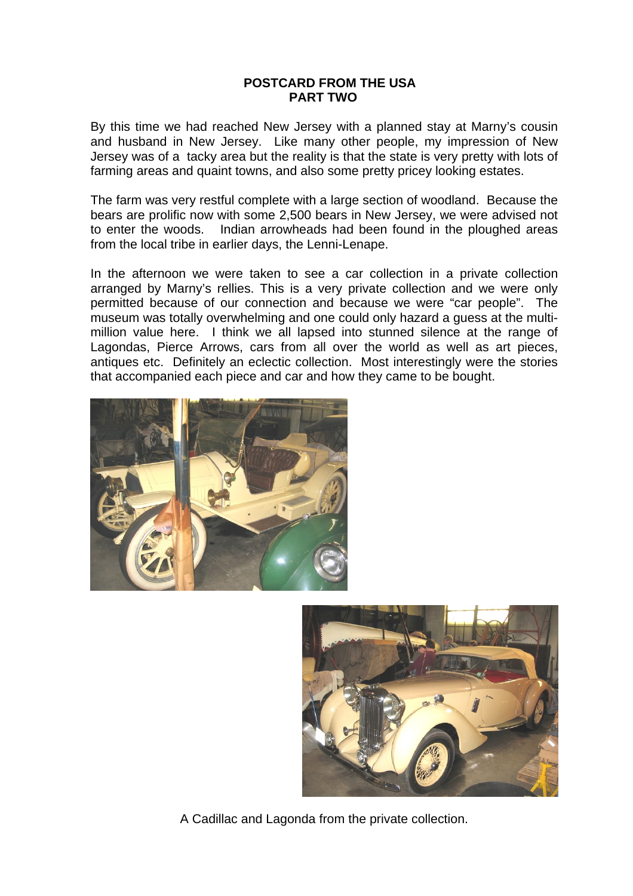## **POSTCARD FROM THE USA PART TWO**

By this time we had reached New Jersey with a planned stay at Marny's cousin and husband in New Jersey. Like many other people, my impression of New Jersey was of a tacky area but the reality is that the state is very pretty with lots of farming areas and quaint towns, and also some pretty pricey looking estates.

The farm was very restful complete with a large section of woodland. Because the bears are prolific now with some 2,500 bears in New Jersey, we were advised not to enter the woods. Indian arrowheads had been found in the ploughed areas from the local tribe in earlier days, the Lenni-Lenape.

In the afternoon we were taken to see a car collection in a private collection arranged by Marny's rellies. This is a very private collection and we were only permitted because of our connection and because we were "car people". The museum was totally overwhelming and one could only hazard a guess at the multimillion value here. I think we all lapsed into stunned silence at the range of Lagondas, Pierce Arrows, cars from all over the world as well as art pieces, antiques etc. Definitely an eclectic collection. Most interestingly were the stories that accompanied each piece and car and how they came to be bought.





A Cadillac and Lagonda from the private collection.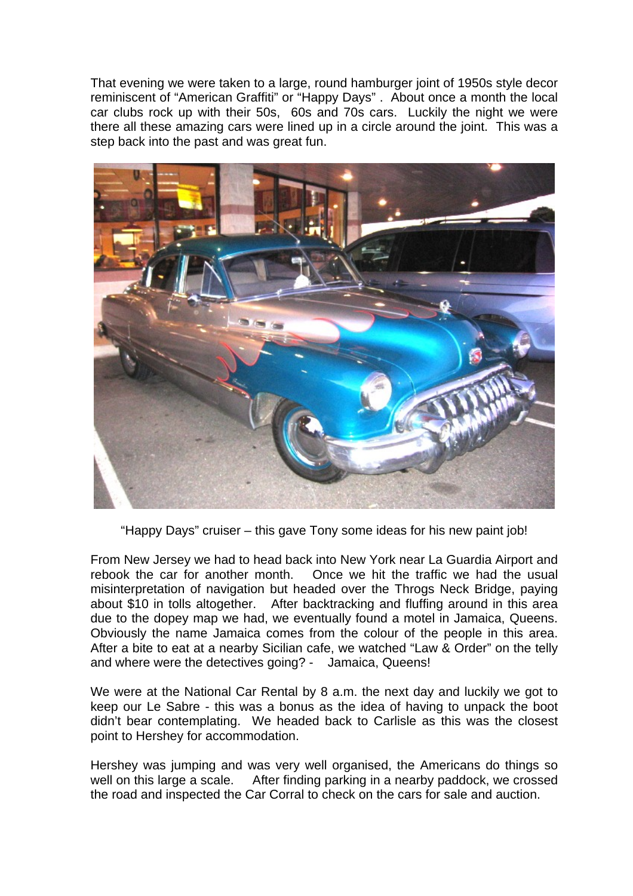That evening we were taken to a large, round hamburger joint of 1950s style decor reminiscent of "American Graffiti" or "Happy Days" . About once a month the local car clubs rock up with their 50s, 60s and 70s cars. Luckily the night we were there all these amazing cars were lined up in a circle around the joint. This was a step back into the past and was great fun.



"Happy Days" cruiser – this gave Tony some ideas for his new paint job!

From New Jersey we had to head back into New York near La Guardia Airport and rebook the car for another month. Once we hit the traffic we had the usual misinterpretation of navigation but headed over the Throgs Neck Bridge, paying about \$10 in tolls altogether. After backtracking and fluffing around in this area due to the dopey map we had, we eventually found a motel in Jamaica, Queens. Obviously the name Jamaica comes from the colour of the people in this area. After a bite to eat at a nearby Sicilian cafe, we watched "Law & Order" on the telly and where were the detectives going? - Jamaica, Queens!

We were at the National Car Rental by 8 a.m. the next day and luckily we got to keep our Le Sabre - this was a bonus as the idea of having to unpack the boot didn't bear contemplating. We headed back to Carlisle as this was the closest point to Hershey for accommodation.

Hershey was jumping and was very well organised, the Americans do things so well on this large a scale. After finding parking in a nearby paddock, we crossed the road and inspected the Car Corral to check on the cars for sale and auction.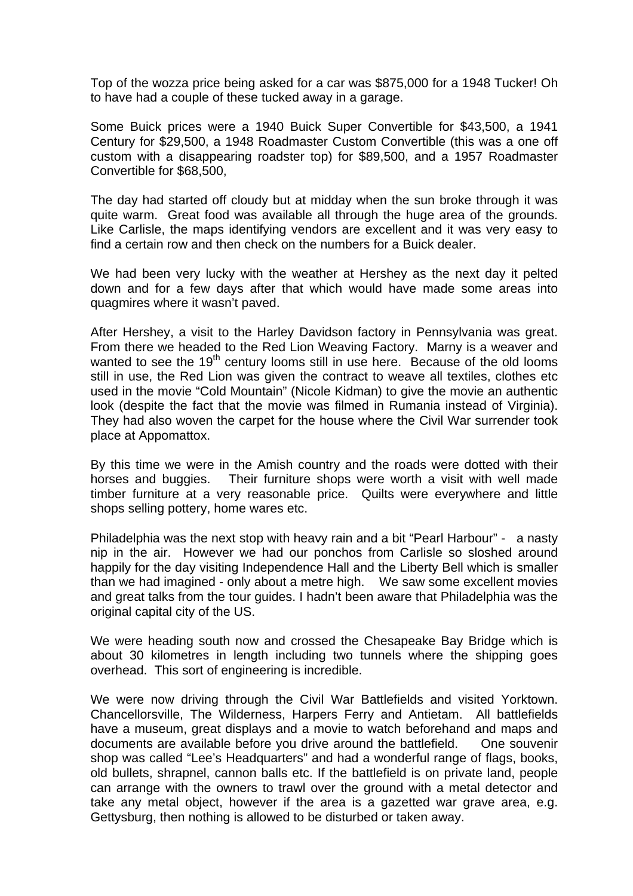Top of the wozza price being asked for a car was \$875,000 for a 1948 Tucker! Oh to have had a couple of these tucked away in a garage.

Some Buick prices were a 1940 Buick Super Convertible for \$43,500, a 1941 Century for \$29,500, a 1948 Roadmaster Custom Convertible (this was a one off custom with a disappearing roadster top) for \$89,500, and a 1957 Roadmaster Convertible for \$68,500,

The day had started off cloudy but at midday when the sun broke through it was quite warm. Great food was available all through the huge area of the grounds. Like Carlisle, the maps identifying vendors are excellent and it was very easy to find a certain row and then check on the numbers for a Buick dealer.

We had been very lucky with the weather at Hershey as the next day it pelted down and for a few days after that which would have made some areas into quagmires where it wasn't paved.

After Hershey, a visit to the Harley Davidson factory in Pennsylvania was great. From there we headed to the Red Lion Weaving Factory. Marny is a weaver and wanted to see the  $19<sup>th</sup>$  century looms still in use here. Because of the old looms still in use, the Red Lion was given the contract to weave all textiles, clothes etc used in the movie "Cold Mountain" (Nicole Kidman) to give the movie an authentic look (despite the fact that the movie was filmed in Rumania instead of Virginia). They had also woven the carpet for the house where the Civil War surrender took place at Appomattox.

By this time we were in the Amish country and the roads were dotted with their horses and buggies. Their furniture shops were worth a visit with well made timber furniture at a very reasonable price. Quilts were everywhere and little shops selling pottery, home wares etc.

Philadelphia was the next stop with heavy rain and a bit "Pearl Harbour" - a nasty nip in the air. However we had our ponchos from Carlisle so sloshed around happily for the day visiting Independence Hall and the Liberty Bell which is smaller than we had imagined - only about a metre high. We saw some excellent movies and great talks from the tour guides. I hadn't been aware that Philadelphia was the original capital city of the US.

We were heading south now and crossed the Chesapeake Bay Bridge which is about 30 kilometres in length including two tunnels where the shipping goes overhead. This sort of engineering is incredible.

We were now driving through the Civil War Battlefields and visited Yorktown. Chancellorsville, The Wilderness, Harpers Ferry and Antietam. All battlefields have a museum, great displays and a movie to watch beforehand and maps and documents are available before you drive around the battlefield. One souvenir shop was called "Lee's Headquarters" and had a wonderful range of flags, books, old bullets, shrapnel, cannon balls etc. If the battlefield is on private land, people can arrange with the owners to trawl over the ground with a metal detector and take any metal object, however if the area is a gazetted war grave area, e.g. Gettysburg, then nothing is allowed to be disturbed or taken away.